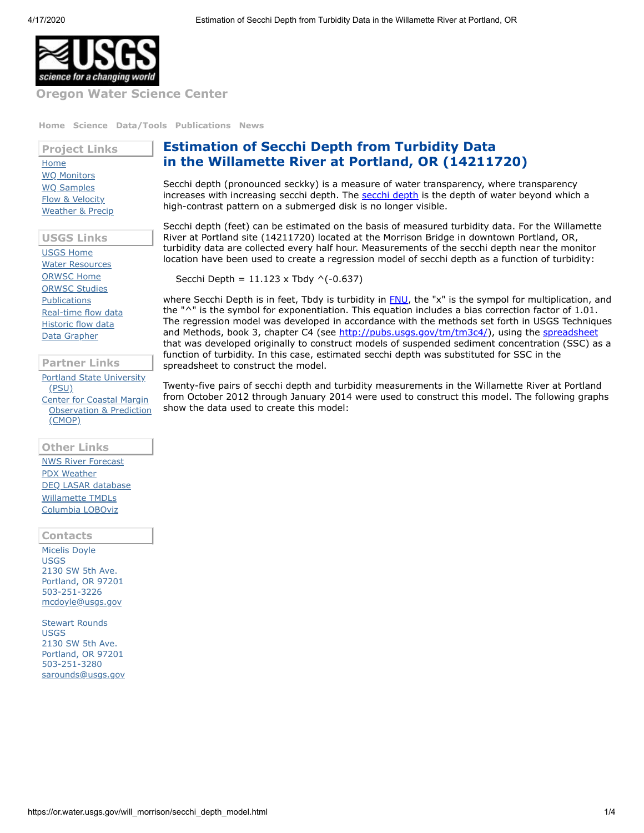

**Oregon Water [Science](https://www.usgs.gov/centers/or-water) Center**

**[Home](https://www.usgs.gov/centers/or-water) [Science](https://www.usgs.gov/centers/or-water/science) [Data/Tools](https://www.usgs.gov/centers/or-water/data-tools) [Publications](https://www.usgs.gov/centers/or-water/publications) [News](https://www.usgs.gov/centers/or-water/news)**

**Project Links** [Home](https://www.usgs.gov/centers/or-water/science/water-quality-willamette-river-portland-or) [WQ Monitors](https://or.water.usgs.gov/will_morrison/monitors/) [WQ Samples](https://nwis.waterdata.usgs.gov/or/nwis/qwdata?site_no=14211720&agency_cd=USGS&format=por_table) [Flow & Velocity](https://waterdata.usgs.gov/or/nwis/uv/?site_no=14211720) [Weather & Precip](https://www.usgs.gov/centers/or-water/science/portland-metropolitan-area-weather-and-precipitation)

**USGS Links**

[USGS Home](https://www.usgs.gov/) [Water Resources](https://water.usgs.gov/) [ORWSC Home](https://www.usgs.gov/centers/or-water) [ORWSC Studies](https://www.usgs.gov/centers/or-water/science) [Publications](https://pubs.usgs.gov/) [Real-time flow data](https://waterdata.usgs.gov/or/nwis/current/?type=flow) [Historic flow data](https://waterdata.usgs.gov/or/nwis/) [Data Grapher](https://or.water.usgs.gov/cgi-bin/grapher/graph_setup.pl?basin_id=will&site_id=14211720)

**Partner Links**

[Portland State University](http://www.pdx.edu/environment/) (PSU) [Center for Coastal Margin](http://www.stccmop.org/) Observation & Prediction (CMOP)

## **Other Links**

[NWS River Forecast](http://water.weather.gov/ahps2/hydrograph.php?wfo=pqr&gage=prto3) [PDX Weather](http://www.wrh.noaa.gov/mesowest/getobext.php?wfo=&sid=KPDX&num=168&raw=0&banner=on) [DEQ LASAR database](http://deq12.deq.state.or.us/lasar2/) [Willamette TMDLs](http://www.deq.state.or.us/wq/TMDLs/willamette.htm) [Columbia LOBOviz](http://columbia.loboviz.com/)

## **Contacts**

Micelis Doyle USGS 2130 SW 5th Ave. Portland, OR 97201 503-251-3226 [mcdoyle@usgs.gov](mailto:mcdoyle@usgs.gov)

Stewart Rounds USGS 2130 SW 5th Ave. Portland, OR 97201 503-251-3280 [sarounds@usgs.gov](mailto:sarounds@usgs.gov)

## **Estimation of Secchi Depth from Turbidity Data in the Willamette River at Portland, OR (14211720)**

Secchi depth (pronounced seckky) is a measure of water transparency, where transparency increases with increasing [secchi depth](http://www.secchidipin.org/index.php/monitoring-methods/the-secchi-disk/what-is-a-secchi-disk/). The secchi depth is the depth of water beyond which a high-contrast pattern on a submerged disk is no longer visible.

Secchi depth (feet) can be estimated on the basis of measured turbidity data. For the Willamette River at Portland site (14211720) located at the Morrison Bridge in downtown Portland, OR, turbidity data are collected every half hour. Measurements of the secchi depth near the monitor location have been used to create a regression model of secchi depth as a function of turbidity:

Secchi Depth =  $11.123 \times \text{Tbdy}$  ^(-0.637)

where Secchi Depth is in feet, Tbdy is turbidity in **FNU**, the "x" is the sympol for multiplication, and the "^" is the symbol for exponentiation. This equation includes a bias correction factor of 1.01. The regression model was developed in accordance with the methods set forth in USGS Techniques and Methods, book 3, chapter C4 (see http://pubs.usqs.gov/tm/tm3c4/), using the [spreadsheet](http://water.usgs.gov/osw/suspended_sediment/TM3C4_SedimentSpreadsheet_3_15_2011.xlsm) that was developed originally to construct models of suspended sediment concentration (SSC) as a function of turbidity. In this case, estimated secchi depth was substituted for SSC in the spreadsheet to construct the model.

Twenty-five pairs of secchi depth and turbidity measurements in the Willamette River at Portland from October 2012 through January 2014 were used to construct this model. The following graphs show the data used to create this model: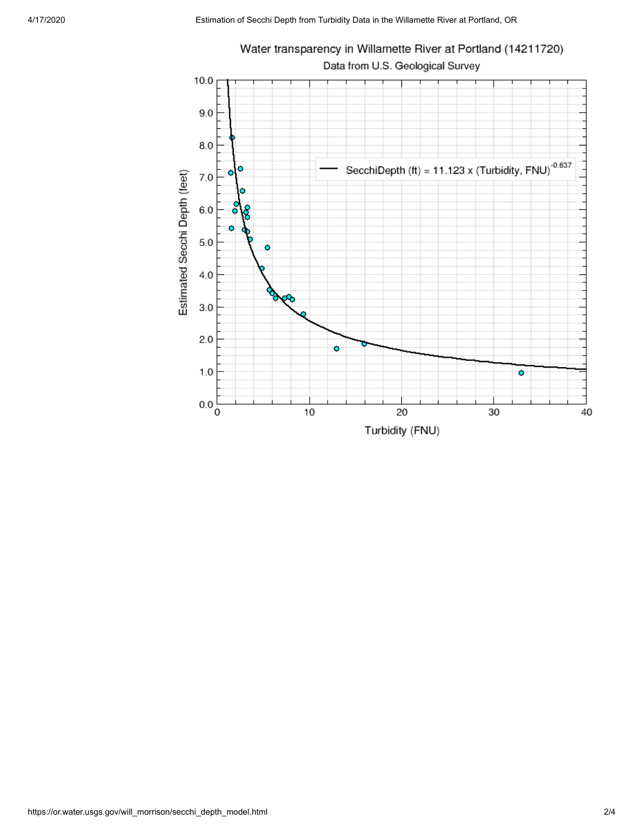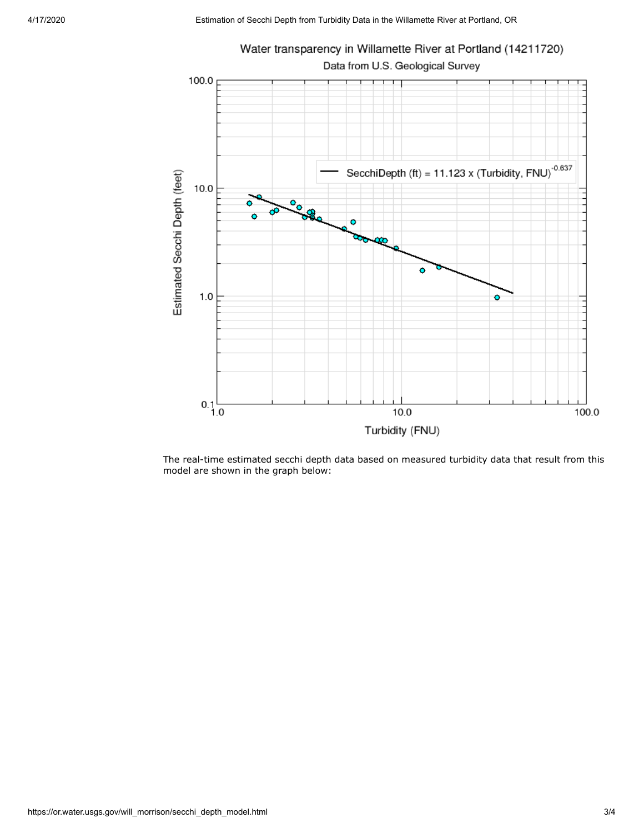

The real-time estimated secchi depth data based on measured turbidity data that result from this model are shown in the graph below: